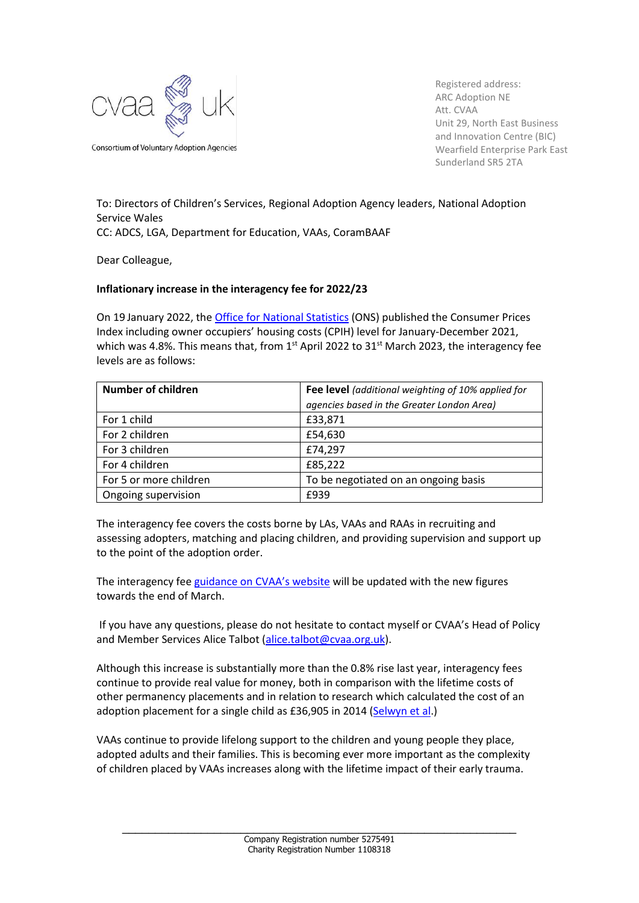

Registered address: ARC Adoption NE Att. CVAA Unit 29, North East Business and Innovation Centre (BIC) Wearfield Enterprise Park East Sunderland SR5 2TA

To: Directors of Children's Services, Regional Adoption Agency leaders, National Adoption Service Wales CC: ADCS, LGA, Department for Education, VAAs, CoramBAAF

Dear Colleague,

## **Inflationary increase in the interagency fee for 2022/23**

On 19 January 2022, the [Office for National Statistics](https://www.ons.gov.uk/economy/inflationandpriceindices) (ONS) published the Consumer Prices Index including owner occupiers' housing costs (CPIH) level for January-December 2021, which was 4.8%. This means that, from  $1<sup>st</sup>$  April 2022 to 31 $<sup>st</sup>$  March 2023, the interagency fee</sup> levels are as follows:

| <b>Number of children</b> | Fee level (additional weighting of 10% applied for |
|---------------------------|----------------------------------------------------|
|                           | agencies based in the Greater London Area)         |
| For 1 child               | £33,871                                            |
| For 2 children            | £54,630                                            |
| For 3 children            | £74,297                                            |
| For 4 children            | £85,222                                            |
| For 5 or more children    | To be negotiated on an ongoing basis               |
| Ongoing supervision       | £939                                               |

The interagency fee covers the costs borne by LAs, VAAs and RAAs in recruiting and assessing adopters, matching and placing children, and providing supervision and support up to the point of the adoption order.

The interagency fee [guidance on CVAA's website](https://www.cvaa.org.uk/interagency-fee) will be updated with the new figures towards the end of March.

If you have any questions, please do not hesitate to contact myself or CVAA's Head of Policy and Member Services Alice Talbot [\(alice.talbot@cvaa.org.uk\)](mailto:alice.talbot@cvaa.org.uk).

Although this increase is substantially more than the 0.8% rise last year, interagency fees continue to provide real value for money, both in comparison with the lifetime costs of other permanency placements and in relation to research which calculated the cost of an adoption placement for a single child as £36,905 in 2014 [\(Selwyn et](https://www.bristol.ac.uk/media-library/sites/sps/migrated/documents/rk6582afinalreport.pdf) al.)

VAAs continue to provide lifelong support to the children and young people they place, adopted adults and their families. This is becoming ever more important as the complexity of children placed by VAAs increases along with the lifetime impact of their early trauma.